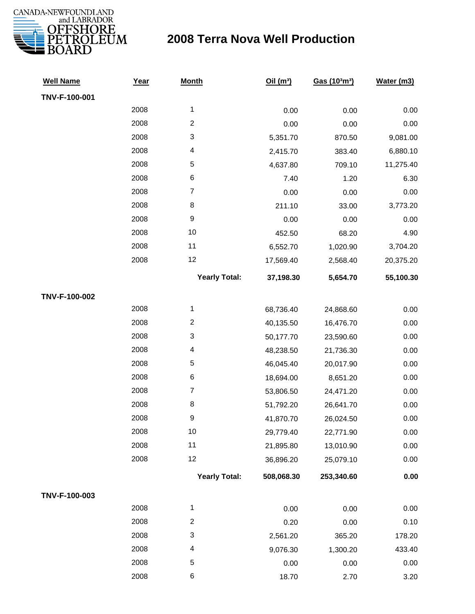

| <b>Well Name</b> | Year | <b>Month</b>         | Oil(m <sup>3</sup> ) | Gas (103m3) | Water (m3) |
|------------------|------|----------------------|----------------------|-------------|------------|
| TNV-F-100-001    |      |                      |                      |             |            |
|                  | 2008 | $\mathbf{1}$         | 0.00                 | 0.00        | 0.00       |
|                  | 2008 | $\overline{c}$       | 0.00                 | 0.00        | 0.00       |
|                  | 2008 | 3                    | 5,351.70             | 870.50      | 9,081.00   |
|                  | 2008 | 4                    | 2,415.70             | 383.40      | 6,880.10   |
|                  | 2008 | 5                    | 4,637.80             | 709.10      | 11,275.40  |
|                  | 2008 | 6                    | 7.40                 | 1.20        | 6.30       |
|                  | 2008 | $\overline{7}$       | 0.00                 | 0.00        | 0.00       |
|                  | 2008 | $\,8\,$              | 211.10               | 33.00       | 3,773.20   |
|                  | 2008 | $\boldsymbol{9}$     | 0.00                 | 0.00        | 0.00       |
|                  | 2008 | 10                   | 452.50               | 68.20       | 4.90       |
|                  | 2008 | 11                   | 6,552.70             | 1,020.90    | 3,704.20   |
|                  | 2008 | 12                   | 17,569.40            | 2,568.40    | 20,375.20  |
|                  |      | <b>Yearly Total:</b> | 37,198.30            | 5,654.70    | 55,100.30  |
| TNV-F-100-002    |      |                      |                      |             |            |
|                  | 2008 | $\mathbf{1}$         | 68,736.40            | 24,868.60   | 0.00       |
|                  | 2008 | $\overline{c}$       | 40,135.50            | 16,476.70   | 0.00       |
|                  | 2008 | 3                    | 50,177.70            | 23,590.60   | 0.00       |
|                  | 2008 | 4                    | 48,238.50            | 21,736.30   | 0.00       |
|                  | 2008 | 5                    | 46,045.40            | 20,017.90   | 0.00       |
|                  | 2008 | $\,6$                | 18,694.00            | 8,651.20    | 0.00       |
|                  | 2008 | $\boldsymbol{7}$     | 53,806.50            | 24,471.20   | 0.00       |
|                  | 2008 | 8                    | 51,792.20            | 26,641.70   | 0.00       |
|                  | 2008 | 9                    | 41,870.70            | 26,024.50   | 0.00       |
|                  | 2008 | 10                   | 29,779.40            | 22,771.90   | 0.00       |
|                  | 2008 | 11                   | 21,895.80            | 13,010.90   | 0.00       |
|                  | 2008 | 12                   | 36,896.20            | 25,079.10   | 0.00       |
|                  |      | <b>Yearly Total:</b> | 508,068.30           | 253,340.60  | 0.00       |
| TNV-F-100-003    |      |                      |                      |             |            |
|                  | 2008 | $\mathbf{1}$         | 0.00                 | 0.00        | 0.00       |
|                  | 2008 | $\boldsymbol{2}$     | 0.20                 | 0.00        | 0.10       |
|                  | 2008 | 3                    | 2,561.20             | 365.20      | 178.20     |
|                  | 2008 | 4                    | 9,076.30             | 1,300.20    | 433.40     |
|                  | 2008 | 5                    | 0.00                 | 0.00        | 0.00       |
|                  | 2008 | 6                    | 18.70                | 2.70        | 3.20       |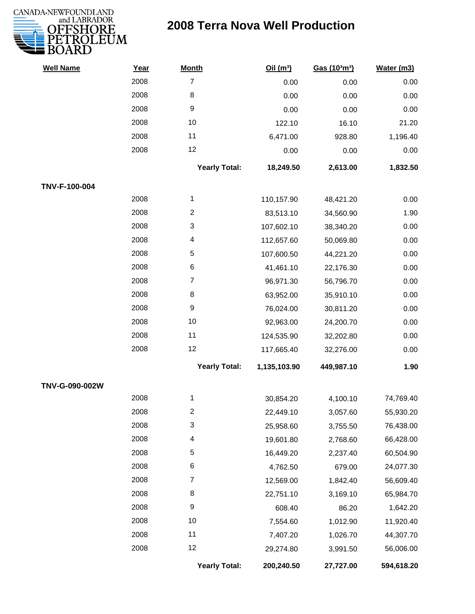

| <b>Well Name</b> | Year | <b>Month</b>         | Oil(m <sup>3</sup> ) | Gas (103m3) | Water (m3) |
|------------------|------|----------------------|----------------------|-------------|------------|
|                  | 2008 | $\overline{7}$       | 0.00                 | 0.00        | 0.00       |
|                  | 2008 | 8                    | 0.00                 | 0.00        | 0.00       |
|                  | 2008 | $\boldsymbol{9}$     | 0.00                 | 0.00        | 0.00       |
|                  | 2008 | 10                   | 122.10               | 16.10       | 21.20      |
|                  | 2008 | 11                   | 6,471.00             | 928.80      | 1,196.40   |
|                  | 2008 | 12                   | 0.00                 | 0.00        | 0.00       |
|                  |      | <b>Yearly Total:</b> | 18,249.50            | 2,613.00    | 1,832.50   |
| TNV-F-100-004    |      |                      |                      |             |            |
|                  | 2008 | 1                    | 110,157.90           | 48,421.20   | 0.00       |
|                  | 2008 | $\overline{c}$       | 83,513.10            | 34,560.90   | 1.90       |
|                  | 2008 | 3                    | 107,602.10           | 38,340.20   | 0.00       |
|                  | 2008 | 4                    | 112,657.60           | 50,069.80   | 0.00       |
|                  | 2008 | 5                    | 107,600.50           | 44,221.20   | 0.00       |
|                  | 2008 | $\,6$                | 41,461.10            | 22,176.30   | 0.00       |
|                  | 2008 | $\overline{7}$       | 96,971.30            | 56,796.70   | 0.00       |
|                  | 2008 | 8                    | 63,952.00            | 35,910.10   | 0.00       |
|                  | 2008 | $\boldsymbol{9}$     | 76,024.00            | 30,811.20   | 0.00       |
|                  | 2008 | 10                   | 92,963.00            | 24,200.70   | 0.00       |
|                  | 2008 | 11                   | 124,535.90           | 32,202.80   | 0.00       |
|                  | 2008 | 12                   | 117,665.40           | 32,276.00   | 0.00       |
|                  |      | <b>Yearly Total:</b> | 1,135,103.90         | 449,987.10  | 1.90       |
| TNV-G-090-002W   |      |                      |                      |             |            |
|                  | 2008 | 1                    | 30,854.20            | 4,100.10    | 74,769.40  |
|                  | 2008 | 2                    | 22,449.10            | 3,057.60    | 55,930.20  |
|                  | 2008 | 3                    | 25,958.60            | 3,755.50    | 76,438.00  |
|                  | 2008 | 4                    | 19,601.80            | 2,768.60    | 66,428.00  |
|                  | 2008 | 5                    | 16,449.20            | 2,237.40    | 60,504.90  |
|                  | 2008 | 6                    | 4,762.50             | 679.00      | 24,077.30  |
|                  | 2008 | $\overline{7}$       | 12,569.00            | 1,842.40    | 56,609.40  |
|                  | 2008 | 8                    | 22,751.10            | 3,169.10    | 65,984.70  |
|                  | 2008 | $\boldsymbol{9}$     | 608.40               | 86.20       | 1,642.20   |
|                  | 2008 | 10                   | 7,554.60             | 1,012.90    | 11,920.40  |
|                  | 2008 | 11                   | 7,407.20             | 1,026.70    | 44,307.70  |
|                  | 2008 | 12                   | 29,274.80            | 3,991.50    | 56,006.00  |
|                  |      | <b>Yearly Total:</b> | 200,240.50           | 27,727.00   | 594,618.20 |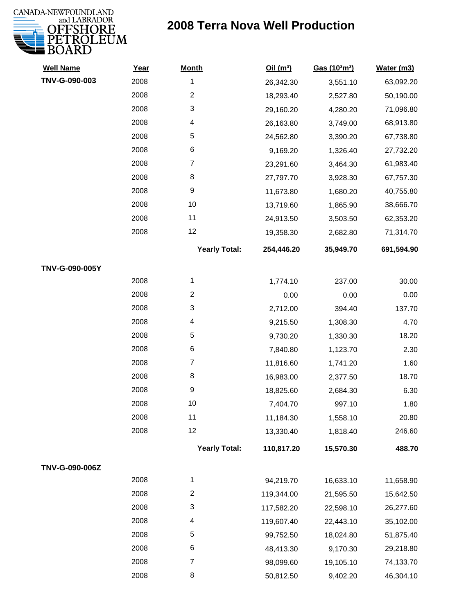

| <b>Well Name</b> | Year | <b>Month</b>         | Oil(m <sup>3</sup> ) | Gas (103m3) | Water (m3) |
|------------------|------|----------------------|----------------------|-------------|------------|
| TNV-G-090-003    | 2008 | 1                    | 26,342.30            | 3,551.10    | 63,092.20  |
|                  | 2008 | $\overline{c}$       | 18,293.40            | 2,527.80    | 50,190.00  |
|                  | 2008 | 3                    | 29,160.20            | 4,280.20    | 71,096.80  |
|                  | 2008 | 4                    | 26,163.80            | 3,749.00    | 68,913.80  |
|                  | 2008 | 5                    | 24,562.80            | 3,390.20    | 67,738.80  |
|                  | 2008 | 6                    | 9,169.20             | 1,326.40    | 27,732.20  |
|                  | 2008 | $\overline{7}$       | 23,291.60            | 3,464.30    | 61,983.40  |
|                  | 2008 | 8                    | 27,797.70            | 3,928.30    | 67,757.30  |
|                  | 2008 | 9                    | 11,673.80            | 1,680.20    | 40,755.80  |
|                  | 2008 | 10                   | 13,719.60            | 1,865.90    | 38,666.70  |
|                  | 2008 | 11                   | 24,913.50            | 3,503.50    | 62,353.20  |
|                  | 2008 | 12                   | 19,358.30            | 2,682.80    | 71,314.70  |
|                  |      | <b>Yearly Total:</b> | 254,446.20           | 35,949.70   | 691,594.90 |
| TNV-G-090-005Y   |      |                      |                      |             |            |
|                  | 2008 | 1                    | 1,774.10             | 237.00      | 30.00      |
|                  | 2008 | $\overline{2}$       | 0.00                 | 0.00        | 0.00       |
|                  | 2008 | 3                    | 2,712.00             | 394.40      | 137.70     |
|                  | 2008 | 4                    | 9,215.50             | 1,308.30    | 4.70       |
|                  | 2008 | 5                    | 9,730.20             | 1,330.30    | 18.20      |
|                  | 2008 | 6                    | 7,840.80             | 1,123.70    | 2.30       |
|                  | 2008 | $\overline{7}$       | 11,816.60            | 1,741.20    | 1.60       |
|                  | 2008 | 8                    | 16,983.00            | 2,377.50    | 18.70      |
|                  | 2008 | 9                    | 18,825.60            | 2,684.30    | 6.30       |
|                  | 2008 | $10$                 | 7,404.70             | 997.10      | 1.80       |
|                  | 2008 | 11                   | 11,184.30            | 1,558.10    | 20.80      |
|                  | 2008 | 12                   | 13,330.40            | 1,818.40    | 246.60     |
|                  |      | <b>Yearly Total:</b> | 110,817.20           | 15,570.30   | 488.70     |
| TNV-G-090-006Z   |      |                      |                      |             |            |
|                  | 2008 | 1                    | 94,219.70            | 16,633.10   | 11,658.90  |
|                  | 2008 | $\overline{c}$       | 119,344.00           | 21,595.50   | 15,642.50  |
|                  | 2008 | 3                    | 117,582.20           | 22,598.10   | 26,277.60  |
|                  | 2008 | 4                    | 119,607.40           | 22,443.10   | 35,102.00  |
|                  | 2008 | 5                    | 99,752.50            | 18,024.80   | 51,875.40  |
|                  | 2008 | 6                    | 48,413.30            | 9,170.30    | 29,218.80  |
|                  | 2008 | $\overline{7}$       | 98,099.60            | 19,105.10   | 74,133.70  |
|                  | 2008 | 8                    | 50,812.50            | 9,402.20    | 46,304.10  |
|                  |      |                      |                      |             |            |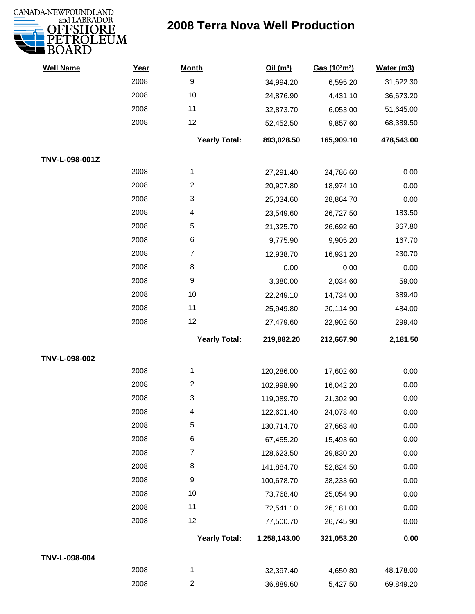

| <b>Well Name</b> | Year | <b>Month</b>         | Oil(m <sup>3</sup> ) | Gas (103m3) | Water (m3) |
|------------------|------|----------------------|----------------------|-------------|------------|
|                  | 2008 | $\boldsymbol{9}$     | 34,994.20            | 6,595.20    | 31,622.30  |
|                  | 2008 | 10                   | 24,876.90            | 4,431.10    | 36,673.20  |
|                  | 2008 | 11                   | 32,873.70            | 6,053.00    | 51,645.00  |
|                  | 2008 | 12                   | 52,452.50            | 9,857.60    | 68,389.50  |
|                  |      | <b>Yearly Total:</b> | 893,028.50           | 165,909.10  | 478,543.00 |
| TNV-L-098-001Z   |      |                      |                      |             |            |
|                  | 2008 | 1                    | 27,291.40            | 24,786.60   | 0.00       |
|                  | 2008 | $\overline{2}$       | 20,907.80            | 18,974.10   | 0.00       |
|                  | 2008 | 3                    | 25,034.60            | 28,864.70   | 0.00       |
|                  | 2008 | 4                    | 23,549.60            | 26,727.50   | 183.50     |
|                  | 2008 | 5                    | 21,325.70            | 26,692.60   | 367.80     |
|                  | 2008 | $\,6$                | 9,775.90             | 9,905.20    | 167.70     |
|                  | 2008 | $\overline{7}$       | 12,938.70            | 16,931.20   | 230.70     |
|                  | 2008 | 8                    | 0.00                 | 0.00        | 0.00       |
|                  | 2008 | $\boldsymbol{9}$     | 3,380.00             | 2,034.60    | 59.00      |
|                  | 2008 | 10                   | 22,249.10            | 14,734.00   | 389.40     |
|                  | 2008 | 11                   | 25,949.80            | 20,114.90   | 484.00     |
|                  | 2008 | 12                   | 27,479.60            | 22,902.50   | 299.40     |
|                  |      | <b>Yearly Total:</b> | 219,882.20           | 212,667.90  | 2,181.50   |
| TNV-L-098-002    |      |                      |                      |             |            |
|                  | 2008 | 1                    | 120,286.00           | 17,602.60   | 0.00       |
|                  | 2008 | $\overline{c}$       | 102,998.90           | 16,042.20   | 0.00       |
|                  | 2008 | 3                    | 119,089.70           | 21,302.90   | 0.00       |
|                  | 2008 | 4                    | 122,601.40           | 24,078.40   | 0.00       |
|                  | 2008 | 5                    | 130,714.70           | 27,663.40   | 0.00       |
|                  | 2008 | $\,6$                | 67,455.20            | 15,493.60   | 0.00       |
|                  | 2008 | 7                    | 128,623.50           | 29,830.20   | 0.00       |
|                  | 2008 | 8                    | 141,884.70           | 52,824.50   | 0.00       |
|                  | 2008 | $\boldsymbol{9}$     | 100,678.70           | 38,233.60   | 0.00       |
|                  | 2008 | 10                   | 73,768.40            | 25,054.90   | 0.00       |
|                  | 2008 | 11                   | 72,541.10            | 26,181.00   | 0.00       |
|                  | 2008 | 12                   | 77,500.70            | 26,745.90   | 0.00       |
|                  |      | <b>Yearly Total:</b> | 1,258,143.00         | 321,053.20  | 0.00       |
| TNV-L-098-004    |      |                      |                      |             |            |
|                  | 2008 | $\mathbf{1}$         | 32,397.40            | 4,650.80    | 48,178.00  |
|                  | 2008 | $\overline{c}$       | 36,889.60            | 5,427.50    | 69,849.20  |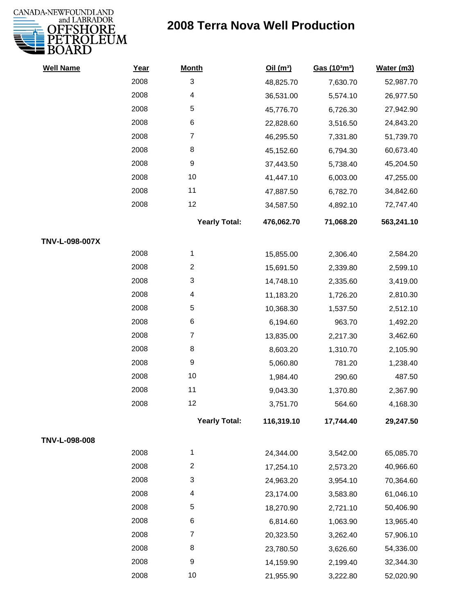

| <b>Well Name</b> | Year | <b>Month</b>         | Oil $(m^3)$ | Gas (103m3) | Water (m3) |
|------------------|------|----------------------|-------------|-------------|------------|
|                  | 2008 | 3                    | 48,825.70   | 7,630.70    | 52,987.70  |
|                  | 2008 | 4                    | 36,531.00   | 5,574.10    | 26,977.50  |
|                  | 2008 | 5                    | 45,776.70   | 6,726.30    | 27,942.90  |
|                  | 2008 | $\,6$                | 22,828.60   | 3,516.50    | 24,843.20  |
|                  | 2008 | $\overline{7}$       | 46,295.50   | 7,331.80    | 51,739.70  |
|                  | 2008 | 8                    | 45,152.60   | 6,794.30    | 60,673.40  |
|                  | 2008 | 9                    | 37,443.50   | 5,738.40    | 45,204.50  |
|                  | 2008 | 10                   | 41,447.10   | 6,003.00    | 47,255.00  |
|                  | 2008 | 11                   | 47,887.50   | 6,782.70    | 34,842.60  |
|                  | 2008 | 12                   | 34,587.50   | 4,892.10    | 72,747.40  |
|                  |      | <b>Yearly Total:</b> | 476,062.70  | 71,068.20   | 563,241.10 |
| TNV-L-098-007X   |      |                      |             |             |            |
|                  | 2008 | 1                    | 15,855.00   | 2,306.40    | 2,584.20   |
|                  | 2008 | $\overline{2}$       | 15,691.50   | 2,339.80    | 2,599.10   |
|                  | 2008 | 3                    | 14,748.10   | 2,335.60    | 3,419.00   |
|                  | 2008 | 4                    | 11,183.20   | 1,726.20    | 2,810.30   |
|                  | 2008 | 5                    | 10,368.30   | 1,537.50    | 2,512.10   |
|                  | 2008 | 6                    | 6,194.60    | 963.70      | 1,492.20   |
|                  | 2008 | $\overline{7}$       | 13,835.00   | 2,217.30    | 3,462.60   |
|                  | 2008 | 8                    | 8,603.20    | 1,310.70    | 2,105.90   |
|                  | 2008 | $\boldsymbol{9}$     | 5,060.80    | 781.20      | 1,238.40   |
|                  | 2008 | 10                   | 1,984.40    | 290.60      | 487.50     |
|                  | 2008 | 11                   | 9,043.30    | 1,370.80    | 2,367.90   |
|                  | 2008 | 12                   | 3,751.70    | 564.60      | 4,168.30   |
|                  |      | <b>Yearly Total:</b> | 116,319.10  | 17,744.40   | 29,247.50  |
| TNV-L-098-008    |      |                      |             |             |            |
|                  | 2008 | 1                    | 24,344.00   | 3,542.00    | 65,085.70  |
|                  | 2008 | $\overline{c}$       | 17,254.10   | 2,573.20    | 40,966.60  |
|                  | 2008 | 3                    | 24,963.20   | 3,954.10    | 70,364.60  |
|                  | 2008 | 4                    | 23,174.00   | 3,583.80    | 61,046.10  |
|                  | 2008 | 5                    | 18,270.90   | 2,721.10    | 50,406.90  |
|                  | 2008 | 6                    | 6,814.60    | 1,063.90    | 13,965.40  |
|                  | 2008 | $\overline{7}$       | 20,323.50   | 3,262.40    | 57,906.10  |
|                  | 2008 | 8                    | 23,780.50   | 3,626.60    | 54,336.00  |
|                  | 2008 | 9                    | 14,159.90   | 2,199.40    | 32,344.30  |
|                  | 2008 | 10                   | 21,955.90   | 3,222.80    | 52,020.90  |